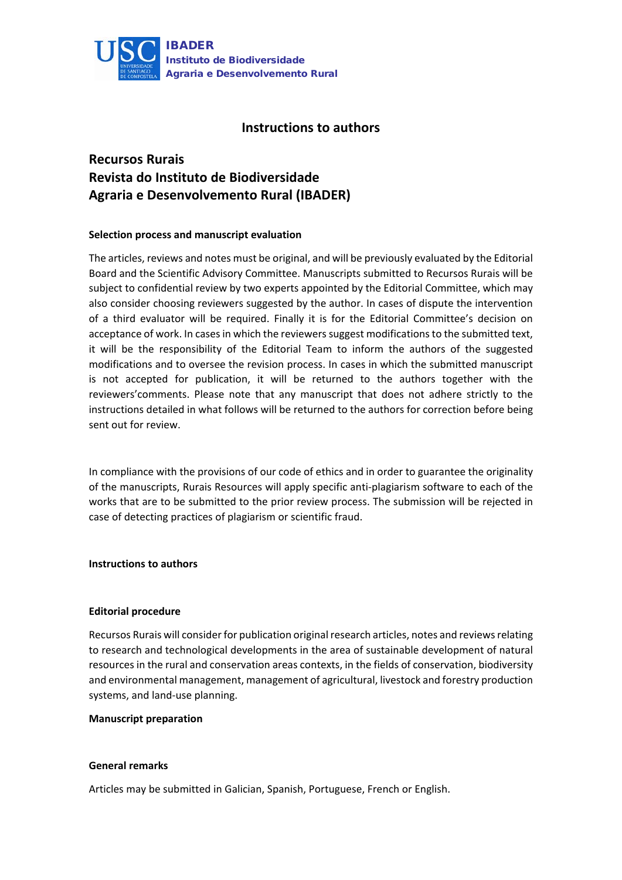

## **Instructions to authors**

# **Recursos Rurais Revista do Instituto de Biodiversidade Agraria e Desenvolvemento Rural (IBADER)**

## **Selection process and manuscript evaluation**

The articles, reviews and notes must be original, and will be previously evaluated by the Editorial Board and the Scientific Advisory Committee. Manuscripts submitted to Recursos Rurais will be subject to confidential review by two experts appointed by the Editorial Committee, which may also consider choosing reviewers suggested by the author. In cases of dispute the intervention of a third evaluator will be required. Finally it is for the Editorial Committee's decision on acceptance of work. In cases in which the reviewers suggest modifications to the submitted text, it will be the responsibility of the Editorial Team to inform the authors of the suggested modifications and to oversee the revision process. In cases in which the submitted manuscript is not accepted for publication, it will be returned to the authors together with the reviewers'comments. Please note that any manuscript that does not adhere strictly to the instructions detailed in what follows will be returned to the authors for correction before being sent out for review.

In compliance with the provisions of our code of ethics and in order to guarantee the originality of the manuscripts, Rurais Resources will apply specific anti-plagiarism software to each of the works that are to be submitted to the prior review process. The submission will be rejected in case of detecting practices of plagiarism or scientific fraud.

#### **Instructions to authors**

#### **Editorial procedure**

Recursos Rurais will consider for publication original research articles, notes and reviews relating to research and technological developments in the area of sustainable development of natural resources in the rural and conservation areas contexts, in the fields of conservation, biodiversity and environmental management, management of agricultural, livestock and forestry production systems, and land-use planning.

#### **Manuscript preparation**

#### **General remarks**

Articles may be submitted in Galician, Spanish, Portuguese, French or English.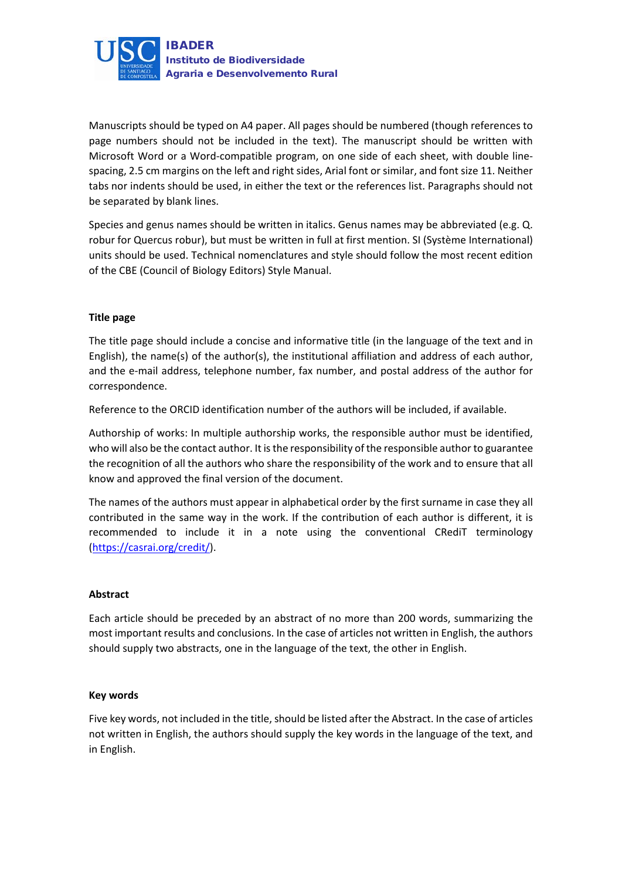

Manuscripts should be typed on A4 paper. All pages should be numbered (though references to page numbers should not be included in the text). The manuscript should be written with Microsoft Word or a Word-compatible program, on one side of each sheet, with double linespacing, 2.5 cm margins on the left and right sides, Arial font or similar, and font size 11. Neither tabs nor indents should be used, in either the text or the references list. Paragraphs should not be separated by blank lines.

Species and genus names should be written in italics. Genus names may be abbreviated (e.g. Q. robur for Quercus robur), but must be written in full at first mention. SI (Système International) units should be used. Technical nomenclatures and style should follow the most recent edition of the CBE (Council of Biology Editors) Style Manual.

## **Title page**

The title page should include a concise and informative title (in the language of the text and in English), the name(s) of the author(s), the institutional affiliation and address of each author, and the e-mail address, telephone number, fax number, and postal address of the author for correspondence.

Reference to the ORCID identification number of the authors will be included, if available.

Authorship of works: In multiple authorship works, the responsible author must be identified, who will also be the contact author. It is the responsibility of the responsible author to guarantee the recognition of all the authors who share the responsibility of the work and to ensure that all know and approved the final version of the document.

The names of the authors must appear in alphabetical order by the first surname in case they all contributed in the same way in the work. If the contribution of each author is different, it is recommended to include it in a note using the conventional CRediT terminology [\(https://casrai.org/credit/\)](https://casrai.org/credit/).

## **Abstract**

Each article should be preceded by an abstract of no more than 200 words, summarizing the most important results and conclusions. In the case of articles not written in English, the authors should supply two abstracts, one in the language of the text, the other in English.

## **Key words**

Five key words, not included in the title, should be listed after the Abstract. In the case of articles not written in English, the authors should supply the key words in the language of the text, and in English.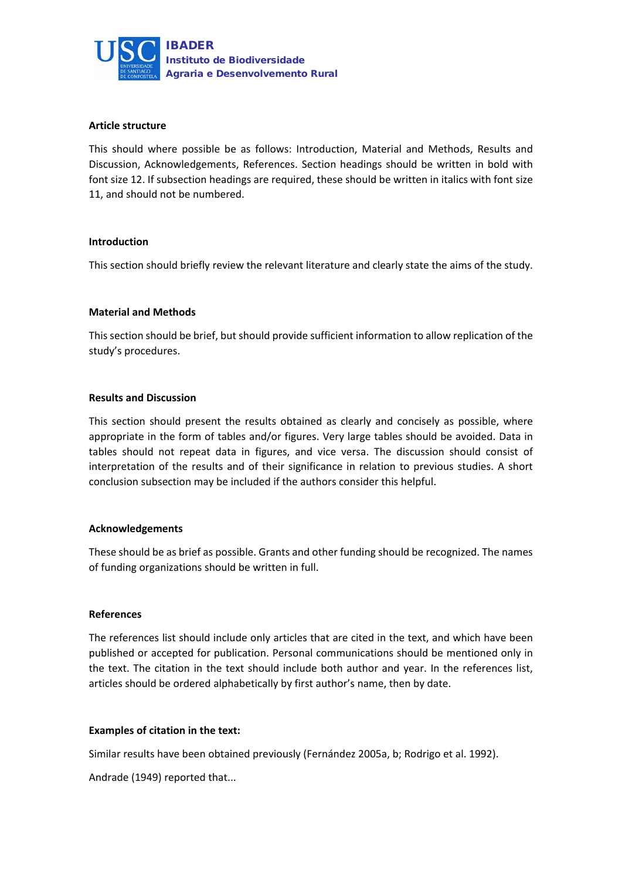

#### **Article structure**

This should where possible be as follows: Introduction, Material and Methods, Results and Discussion, Acknowledgements, References. Section headings should be written in bold with font size 12. If subsection headings are required, these should be written in italics with font size 11, and should not be numbered.

#### **Introduction**

This section should briefly review the relevant literature and clearly state the aims of the study.

#### **Material and Methods**

This section should be brief, but should provide sufficient information to allow replication of the study's procedures.

#### **Results and Discussion**

This section should present the results obtained as clearly and concisely as possible, where appropriate in the form of tables and/or figures. Very large tables should be avoided. Data in tables should not repeat data in figures, and vice versa. The discussion should consist of interpretation of the results and of their significance in relation to previous studies. A short conclusion subsection may be included if the authors consider this helpful.

#### **Acknowledgements**

These should be as brief as possible. Grants and other funding should be recognized. The names of funding organizations should be written in full.

#### **References**

The references list should include only articles that are cited in the text, and which have been published or accepted for publication. Personal communications should be mentioned only in the text. The citation in the text should include both author and year. In the references list, articles should be ordered alphabetically by first author's name, then by date.

#### **Examples of citation in the text:**

Similar results have been obtained previously (Fernández 2005a, b; Rodrigo et al. 1992).

Andrade (1949) reported that...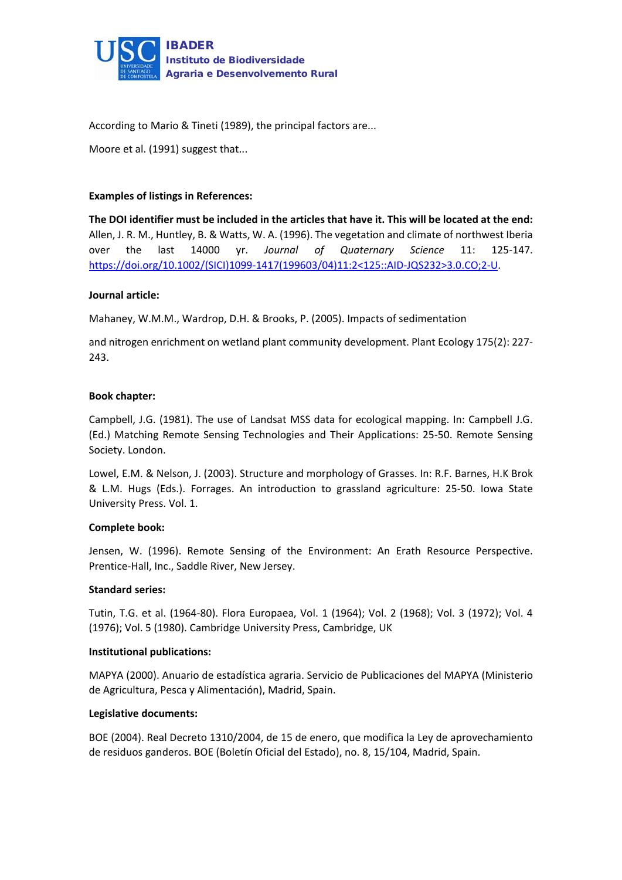

According to Mario & Tineti (1989), the principal factors are...

Moore et al. (1991) suggest that...

## **Examples of listings in References:**

**The DOI identifier must be included in the articles that have it. This will be located at the end:** Allen, J. R. M., Huntley, B. & Watts, W. A. (1996). The vegetation and climate of northwest Iberia over the last 14000 yr. *Journal of Quaternary Science* 11: 125-147. [https://doi.org/10.1002/\(SICI\)1099-1417\(199603/04\)11:2<125::AID-JQS232>3.0.CO;2-U.](https://doi.org/10.1002/(SICI)1099-1417(199603/04)11:2%3c125::AID-JQS232%3e3.0.CO;2-U)

## **Journal article:**

Mahaney, W.M.M., Wardrop, D.H. & Brooks, P. (2005). Impacts of sedimentation

and nitrogen enrichment on wetland plant community development. Plant Ecology 175(2): 227- 243.

## **Book chapter:**

Campbell, J.G. (1981). The use of Landsat MSS data for ecological mapping. In: Campbell J.G. (Ed.) Matching Remote Sensing Technologies and Their Applications: 25-50. Remote Sensing Society. London.

Lowel, E.M. & Nelson, J. (2003). Structure and morphology of Grasses. In: R.F. Barnes, H.K Brok & L.M. Hugs (Eds.). Forrages. An introduction to grassland agriculture: 25-50. Iowa State University Press. Vol. 1.

## **Complete book:**

Jensen, W. (1996). Remote Sensing of the Environment: An Erath Resource Perspective. Prentice-Hall, Inc., Saddle River, New Jersey.

## **Standard series:**

Tutin, T.G. et al. (1964-80). Flora Europaea, Vol. 1 (1964); Vol. 2 (1968); Vol. 3 (1972); Vol. 4 (1976); Vol. 5 (1980). Cambridge University Press, Cambridge, UK

## **Institutional publications:**

MAPYA (2000). Anuario de estadística agraria. Servicio de Publicaciones del MAPYA (Ministerio de Agricultura, Pesca y Alimentación), Madrid, Spain.

## **Legislative documents:**

BOE (2004). Real Decreto 1310/2004, de 15 de enero, que modifica la Ley de aprovechamiento de residuos ganderos. BOE (Boletín Oficial del Estado), no. 8, 15/104, Madrid, Spain.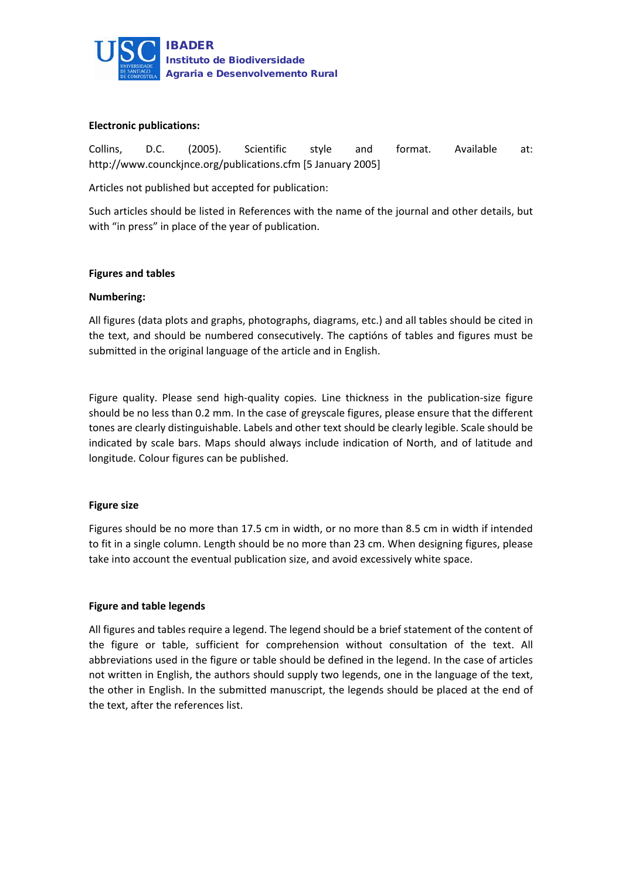

#### **Electronic publications:**

Collins, D.C. (2005). Scientific style and format. Available at: http://www.counckjnce.org/publications.cfm [5 January 2005]

Articles not published but accepted for publication:

Such articles should be listed in References with the name of the journal and other details, but with "in press" in place of the year of publication.

#### **Figures and tables**

#### **Numbering:**

All figures (data plots and graphs, photographs, diagrams, etc.) and all tables should be cited in the text, and should be numbered consecutively. The captións of tables and figures must be submitted in the original language of the article and in English.

Figure quality. Please send high-quality copies. Line thickness in the publication-size figure should be no less than 0.2 mm. In the case of greyscale figures, please ensure that the different tones are clearly distinguishable. Labels and other text should be clearly legible. Scale should be indicated by scale bars. Maps should always include indication of North, and of latitude and longitude. Colour figures can be published.

#### **Figure size**

Figures should be no more than 17.5 cm in width, or no more than 8.5 cm in width if intended to fit in a single column. Length should be no more than 23 cm. When designing figures, please take into account the eventual publication size, and avoid excessively white space.

#### **Figure and table legends**

All figures and tables require a legend. The legend should be a brief statement of the content of the figure or table, sufficient for comprehension without consultation of the text. All abbreviations used in the figure or table should be defined in the legend. In the case of articles not written in English, the authors should supply two legends, one in the language of the text, the other in English. In the submitted manuscript, the legends should be placed at the end of the text, after the references list.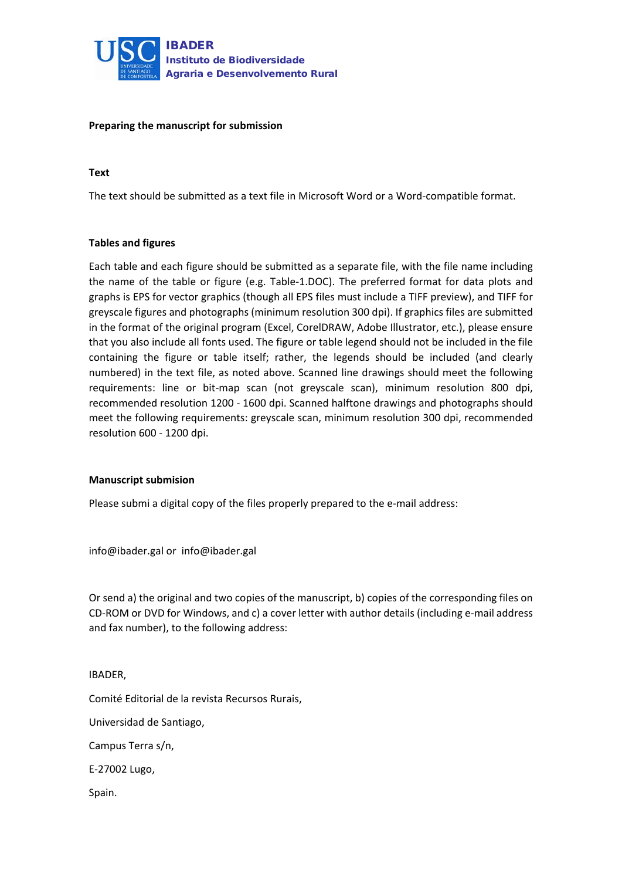

#### **Preparing the manuscript for submission**

#### **Text**

The text should be submitted as a text file in Microsoft Word or a Word-compatible format.

#### **Tables and figures**

Each table and each figure should be submitted as a separate file, with the file name including the name of the table or figure (e.g. Table-1.DOC). The preferred format for data plots and graphs is EPS for vector graphics (though all EPS files must include a TIFF preview), and TIFF for greyscale figures and photographs (minimum resolution 300 dpi). If graphics files are submitted in the format of the original program (Excel, CorelDRAW, Adobe Illustrator, etc.), please ensure that you also include all fonts used. The figure or table legend should not be included in the file containing the figure or table itself; rather, the legends should be included (and clearly numbered) in the text file, as noted above. Scanned line drawings should meet the following requirements: line or bit-map scan (not greyscale scan), minimum resolution 800 dpi, recommended resolution 1200 - 1600 dpi. Scanned halftone drawings and photographs should meet the following requirements: greyscale scan, minimum resolution 300 dpi, recommended resolution 600 - 1200 dpi.

#### **Manuscript submision**

Please submi a digital copy of the files properly prepared to the e-mail address:

info@ibader.gal or info@ibader.gal

Or send a) the original and two copies of the manuscript, b) copies of the corresponding files on CD-ROM or DVD for Windows, and c) a cover letter with author details (including e-mail address and fax number), to the following address:

#### IBADER,

Comité Editorial de la revista Recursos Rurais,

Universidad de Santiago,

Campus Terra s/n,

E-27002 Lugo,

Spain.